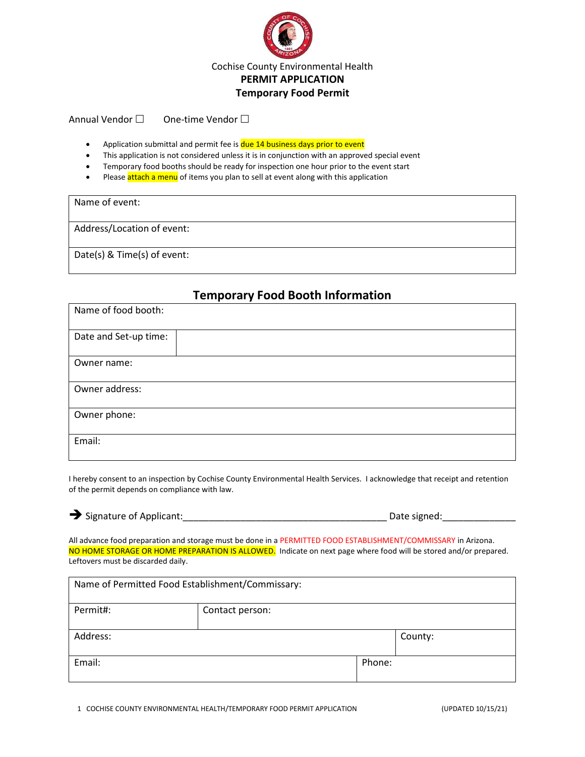

Annual Vendor  $\square$  One-time Vendor  $\square$ 

- Application submittal and permit fee is **due 14 business days prior to event**
- This application is not considered unless it is in conjunction with an approved special event
- Temporary food booths should be ready for inspection one hour prior to the event start
- Please attach a menu of items you plan to sell at event along with this application

| Name of event:              |
|-----------------------------|
| Address/Location of event:  |
| Date(s) & Time(s) of event: |

#### **Temporary Food Booth Information**

| Name of food booth:   |
|-----------------------|
| Date and Set-up time: |
| Owner name:           |
| Owner address:        |
| Owner phone:          |
| Email:                |

I hereby consent to an inspection by Cochise County Environmental Health Services. I acknowledge that receipt and retention of the permit depends on compliance with law.

|  | $\rightarrow$ Signature of Applican |  |  |  |
|--|-------------------------------------|--|--|--|
|--|-------------------------------------|--|--|--|

Signature of Applicant: Let Applicant:  $\Box$  Date signed:

All advance food preparation and storage must be done in a PERMITTED FOOD ESTABLISHMENT/COMMISSARY in Arizona. NO HOME STORAGE OR HOME PREPARATION IS ALLOWED. Indicate on next page where food will be stored and/or prepared. Leftovers must be discarded daily.

| Name of Permitted Food Establishment/Commissary: |                 |        |  |
|--------------------------------------------------|-----------------|--------|--|
| Permit#:                                         | Contact person: |        |  |
| Address:<br>County:                              |                 |        |  |
| Email:                                           |                 | Phone: |  |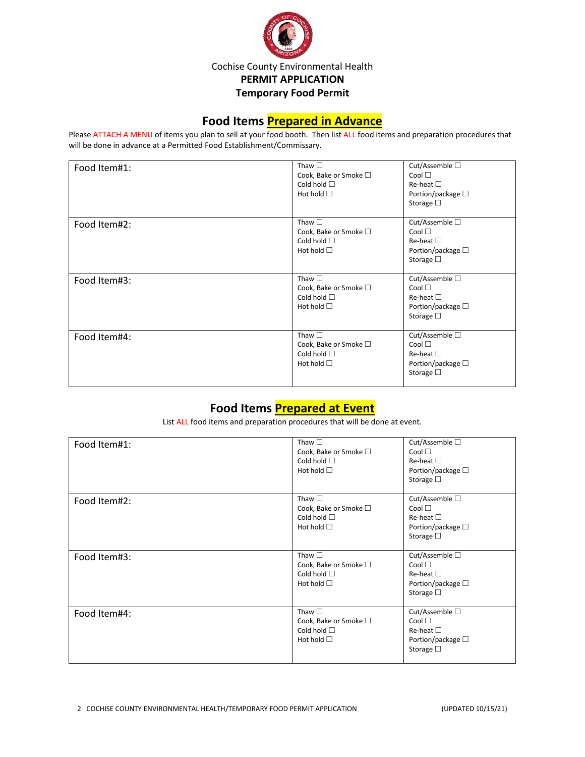

#### **Food Items Prepared in Advance**

Please ATTACH A MENU of items you plan to sell at your food booth. Then list ALL food items and preparation procedures that will be done in advance at a Permitted Food Establishment/Commissary.

| Food Item#1: | Thaw $\square$<br>Cook, Bake or Smoke □<br>Cold hold $\square$<br>Hot hold $\square$         | Cut/Assemble $\square$<br>Cool $\square$<br>$Re$ -heat $\square$<br>Portion/package $\square$<br>Storage $\square$ |
|--------------|----------------------------------------------------------------------------------------------|--------------------------------------------------------------------------------------------------------------------|
| Food Item#2: | Thaw $\square$<br>Cook, Bake or Smoke □<br>Cold hold $\square$<br>Hot hold $\square$         | Cut/Assemble $\square$<br>Cool<br>$Re$ -heat $\square$<br>Portion/package $\square$<br>Storage $\square$           |
| Food Item#3: | Thaw $\square$<br>Cook, Bake or Smoke $\square$<br>Cold hold $\square$<br>Hot hold $\square$ | Cut/Assemble $\square$<br>Cool<br>$Re$ -heat $\square$<br>Portion/package $\square$<br>Storage $\square$           |
| Food Item#4: | Thaw $\square$<br>Cook, Bake or Smoke □<br>Cold hold $\square$<br>Hot hold $\square$         | Cut/Assemble $\square$<br>Cool<br>$Re$ -heat $\square$<br>Portion/package $\square$<br>Storage $\square$           |

# **Food Items Prepared at Event**

List ALL food items and preparation procedures that will be done at event.

| Food Item#1: | Thaw $\square$<br>Cook, Bake or Smoke □<br>Cold hold $\square$<br>Hot hold $\Box$            | Cut/Assemble $\square$<br>Cool<br>$Re$ -heat $\square$<br>Portion/package $\square$<br>Storage $\square$ |
|--------------|----------------------------------------------------------------------------------------------|----------------------------------------------------------------------------------------------------------|
| Food Item#2: | Thaw $\square$<br>Cook, Bake or Smoke □<br>Cold hold $\square$<br>Hot hold $\Box$            | Cut/Assemble $\square$<br>Cool<br>$Re$ -heat $\Box$<br>Portion/package $\square$<br>Storage $\square$    |
| Food Item#3: | Thaw $\square$<br>Cook, Bake or Smoke $\square$<br>Cold hold $\square$<br>Hot hold $\square$ | Cut/Assemble □<br>Cool<br>$Re$ -heat $\Box$<br>Portion/package $\square$<br>Storage $\square$            |
| Food Item#4: | Thaw $\square$<br>Cook, Bake or Smoke $\square$<br>Cold hold $\square$<br>Hot hold $\square$ | Cut/Assemble $\square$<br>Cool<br>$Re$ -heat $\square$<br>Portion/package $\square$<br>Storage $\square$ |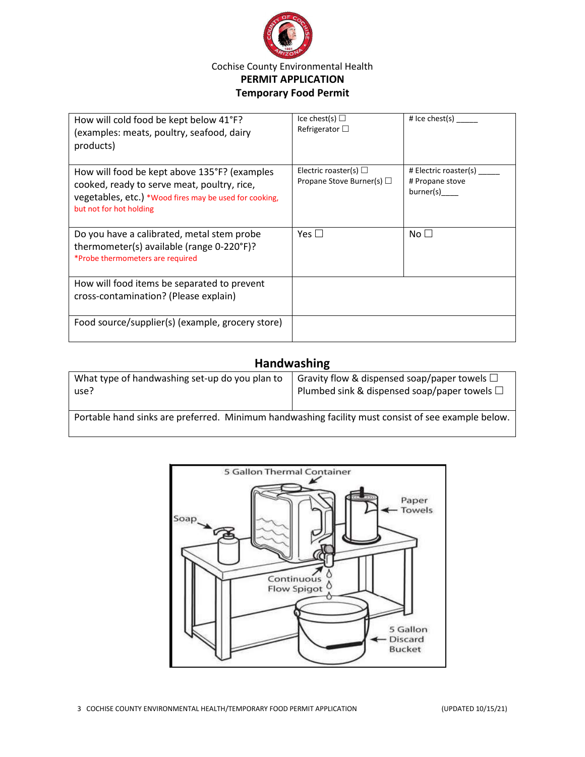

| How will cold food be kept below 41°F?<br>(examples: meats, poultry, seafood, dairy<br>products)                                                                                 | Ice chest(s) $\Box$<br>Refrigerator $\square$                | # Ice chest(s) $\frac{ }{ }$                          |
|----------------------------------------------------------------------------------------------------------------------------------------------------------------------------------|--------------------------------------------------------------|-------------------------------------------------------|
| How will food be kept above 135°F? (examples<br>cooked, ready to serve meat, poultry, rice,<br>vegetables, etc.) *Wood fires may be used for cooking,<br>but not for hot holding | Electric roaster(s) $\Box$<br>Propane Stove Burner(s) $\Box$ | # Electric roaster(s)<br># Propane stove<br>burner(s) |
| Do you have a calibrated, metal stem probe<br>thermometer(s) available (range 0-220°F)?<br>*Probe thermometers are required                                                      | Yes $\Box$                                                   | No <sub>1</sub>                                       |
| How will food items be separated to prevent<br>cross-contamination? (Please explain)                                                                                             |                                                              |                                                       |
| Food source/supplier(s) (example, grocery store)                                                                                                                                 |                                                              |                                                       |

### **Handwashing**

| What type of handwashing set-up do you plan to<br>use?                                             | Gravity flow & dispensed soap/paper towels $\square$<br>Plumbed sink & dispensed soap/paper towels $\square$ |  |
|----------------------------------------------------------------------------------------------------|--------------------------------------------------------------------------------------------------------------|--|
| Portable hand sinks are preferred. Minimum handwashing facility must consist of see example below. |                                                                                                              |  |

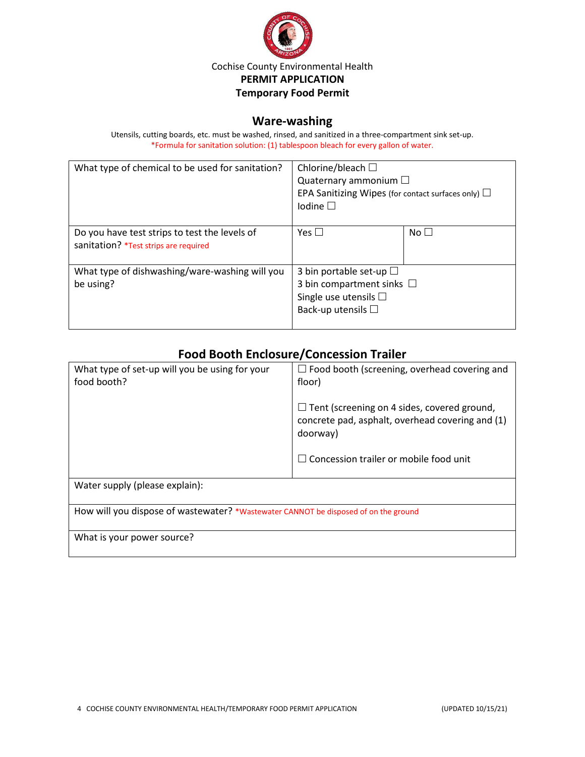

#### **Ware-washing**

Utensils, cutting boards, etc. must be washed, rinsed, and sanitized in a three-compartment sink set-up. \*Formula for sanitation solution: (1) tablespoon bleach for every gallon of water.

| What type of chemical to be used for sanitation?                                       | Chlorine/bleach $\Box$<br>Quaternary ammonium $\Box$<br>EPA Sanitizing Wipes (for contact surfaces only) $\Box$<br>Iodine $\square$ |           |
|----------------------------------------------------------------------------------------|-------------------------------------------------------------------------------------------------------------------------------------|-----------|
| Do you have test strips to test the levels of<br>sanitation? *Test strips are required | Yes $\Box$                                                                                                                          | No $\Box$ |
| What type of dishwashing/ware-washing will you<br>be using?                            | 3 bin portable set-up $\square$<br>3 bin compartment sinks $\Box$<br>Single use utensils $\square$<br>Back-up utensils $\square$    |           |

# **Food Booth Enclosure/Concession Trailer**

| What type of set-up will you be using for your<br>food booth?                       | $\Box$ Food booth (screening, overhead covering and<br>floor)                                                                                                       |  |
|-------------------------------------------------------------------------------------|---------------------------------------------------------------------------------------------------------------------------------------------------------------------|--|
|                                                                                     | $\Box$ Tent (screening on 4 sides, covered ground,<br>concrete pad, asphalt, overhead covering and (1)<br>doorway)<br>$\Box$ Concession trailer or mobile food unit |  |
| Water supply (please explain):                                                      |                                                                                                                                                                     |  |
| How will you dispose of wastewater? *Wastewater CANNOT be disposed of on the ground |                                                                                                                                                                     |  |
| What is your power source?                                                          |                                                                                                                                                                     |  |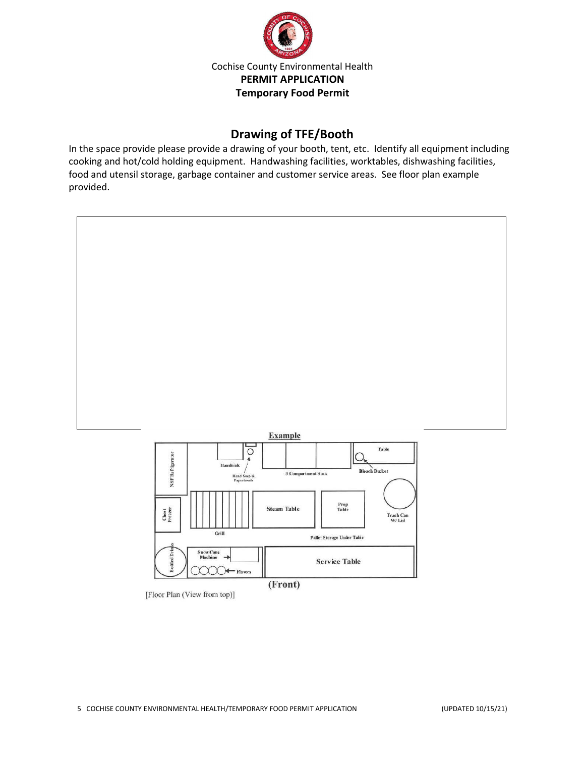

## **Drawing of TFE/Booth**

In the space provide please provide a drawing of your booth, tent, etc. Identify all equipment including cooking and hot/cold holding equipment. Handwashing facilities, worktables, dishwashing facilities, food and utensil storage, garbage container and customer service areas. See floor plan example provided.



(Front)

[Floor Plan (View from top)]

 $\bigcirc$  Flavors